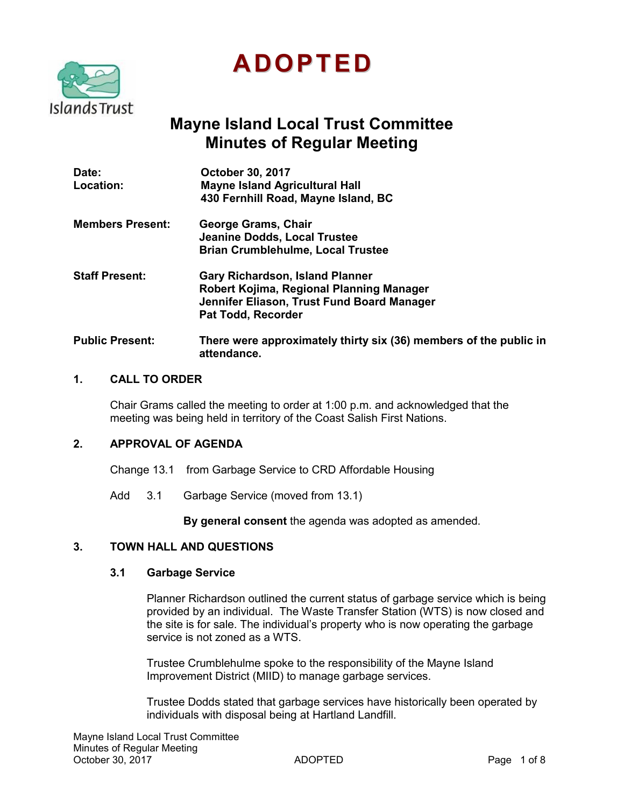

# **ADOPTED**

# **Mayne Island Local Trust Committee Minutes of Regular Meeting**

| Date:<br>Location:      | <b>October 30, 2017</b><br><b>Mayne Island Agricultural Hall</b><br>430 Fernhill Road, Mayne Island, BC                                                |
|-------------------------|--------------------------------------------------------------------------------------------------------------------------------------------------------|
| <b>Members Present:</b> | <b>George Grams, Chair</b><br><b>Jeanine Dodds, Local Trustee</b><br><b>Brian Crumblehulme, Local Trustee</b>                                          |
| <b>Staff Present:</b>   | <b>Gary Richardson, Island Planner</b><br>Robert Kojima, Regional Planning Manager<br>Jennifer Eliason, Trust Fund Board Manager<br>Pat Todd, Recorder |
| <b>Public Present:</b>  | There were approximately thirty six (36) members of the public in<br>attendance.                                                                       |

#### **1. CALL TO ORDER**

Chair Grams called the meeting to order at 1:00 p.m. and acknowledged that the meeting was being held in territory of the Coast Salish First Nations.

# **2. APPROVAL OF AGENDA**

Change 13.1 from Garbage Service to CRD Affordable Housing

Add 3.1 Garbage Service (moved from 13.1)

**By general consent** the agenda was adopted as amended.

# **3. TOWN HALL AND QUESTIONS**

### **3.1 Garbage Service**

Planner Richardson outlined the current status of garbage service which is being provided by an individual. The Waste Transfer Station (WTS) is now closed and the site is for sale. The individual's property who is now operating the garbage service is not zoned as a WTS.

Trustee Crumblehulme spoke to the responsibility of the Mayne Island Improvement District (MIID) to manage garbage services.

Trustee Dodds stated that garbage services have historically been operated by individuals with disposal being at Hartland Landfill.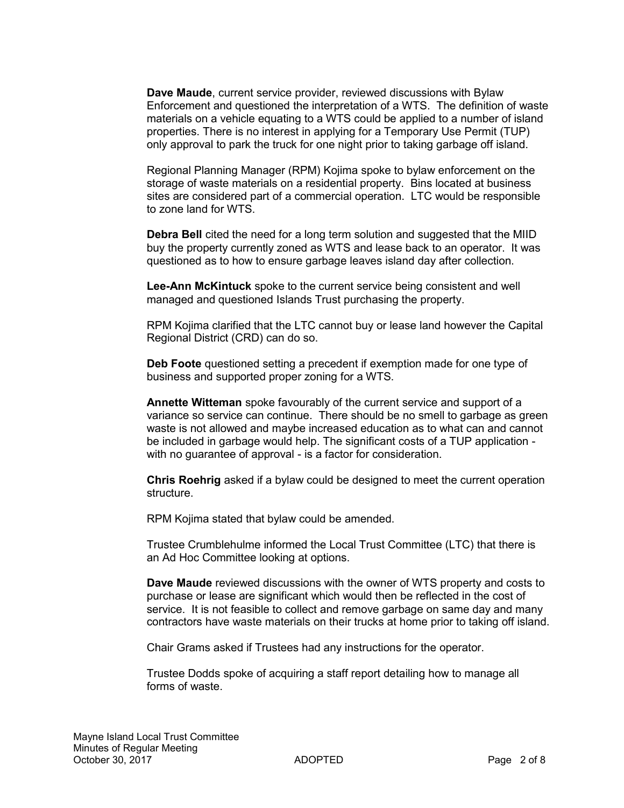**Dave Maude**, current service provider, reviewed discussions with Bylaw Enforcement and questioned the interpretation of a WTS. The definition of waste materials on a vehicle equating to a WTS could be applied to a number of island properties. There is no interest in applying for a Temporary Use Permit (TUP) only approval to park the truck for one night prior to taking garbage off island.

Regional Planning Manager (RPM) Kojima spoke to bylaw enforcement on the storage of waste materials on a residential property. Bins located at business sites are considered part of a commercial operation. LTC would be responsible to zone land for WTS.

**Debra Bell** cited the need for a long term solution and suggested that the MIID buy the property currently zoned as WTS and lease back to an operator. It was questioned as to how to ensure garbage leaves island day after collection.

**Lee-Ann McKintuck** spoke to the current service being consistent and well managed and questioned Islands Trust purchasing the property.

RPM Kojima clarified that the LTC cannot buy or lease land however the Capital Regional District (CRD) can do so.

**Deb Foote** questioned setting a precedent if exemption made for one type of business and supported proper zoning for a WTS.

**Annette Witteman** spoke favourably of the current service and support of a variance so service can continue. There should be no smell to garbage as green waste is not allowed and maybe increased education as to what can and cannot be included in garbage would help. The significant costs of a TUP application with no guarantee of approval - is a factor for consideration.

**Chris Roehrig** asked if a bylaw could be designed to meet the current operation structure.

RPM Kojima stated that bylaw could be amended.

Trustee Crumblehulme informed the Local Trust Committee (LTC) that there is an Ad Hoc Committee looking at options.

**Dave Maude** reviewed discussions with the owner of WTS property and costs to purchase or lease are significant which would then be reflected in the cost of service. It is not feasible to collect and remove garbage on same day and many contractors have waste materials on their trucks at home prior to taking off island.

Chair Grams asked if Trustees had any instructions for the operator.

Trustee Dodds spoke of acquiring a staff report detailing how to manage all forms of waste.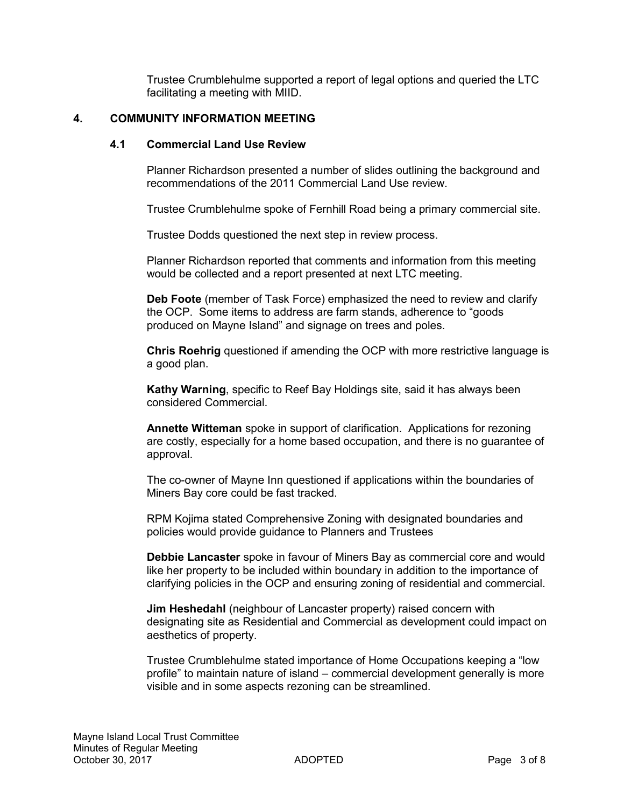Trustee Crumblehulme supported a report of legal options and queried the LTC facilitating a meeting with MIID.

# **4. COMMUNITY INFORMATION MEETING**

#### **4.1 Commercial Land Use Review**

Planner Richardson presented a number of slides outlining the background and recommendations of the 2011 Commercial Land Use review.

Trustee Crumblehulme spoke of Fernhill Road being a primary commercial site.

Trustee Dodds questioned the next step in review process.

Planner Richardson reported that comments and information from this meeting would be collected and a report presented at next LTC meeting.

**Deb Foote** (member of Task Force) emphasized the need to review and clarify the OCP. Some items to address are farm stands, adherence to "goods produced on Mayne Island" and signage on trees and poles.

**Chris Roehrig** questioned if amending the OCP with more restrictive language is a good plan.

**Kathy Warning**, specific to Reef Bay Holdings site, said it has always been considered Commercial.

**Annette Witteman** spoke in support of clarification. Applications for rezoning are costly, especially for a home based occupation, and there is no guarantee of approval.

The co-owner of Mayne Inn questioned if applications within the boundaries of Miners Bay core could be fast tracked.

RPM Kojima stated Comprehensive Zoning with designated boundaries and policies would provide guidance to Planners and Trustees

**Debbie Lancaster** spoke in favour of Miners Bay as commercial core and would like her property to be included within boundary in addition to the importance of clarifying policies in the OCP and ensuring zoning of residential and commercial.

**Jim Heshedahl** (neighbour of Lancaster property) raised concern with designating site as Residential and Commercial as development could impact on aesthetics of property.

Trustee Crumblehulme stated importance of Home Occupations keeping a "low profile" to maintain nature of island – commercial development generally is more visible and in some aspects rezoning can be streamlined.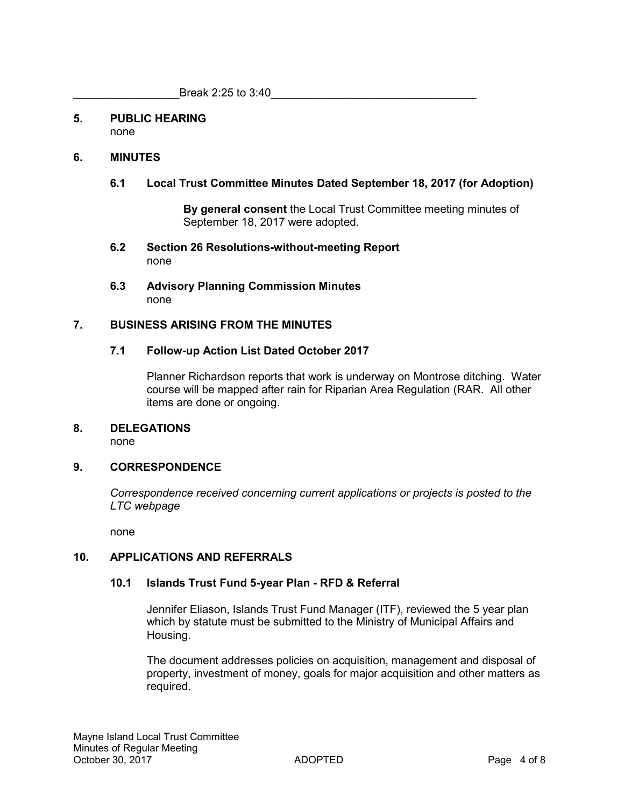#### **5. PUBLIC HEARING** none

# **6. MINUTES**

# **6.1 Local Trust Committee Minutes Dated September 18, 2017 (for Adoption)**

**By general consent** the Local Trust Committee meeting minutes of September 18, 2017 were adopted.

- **6.2 Section 26 Resolutions-without-meeting Report** none
- **6.3 Advisory Planning Commission Minutes**  none

# **7. BUSINESS ARISING FROM THE MINUTES**

## **7.1 Follow-up Action List Dated October 2017**

Planner Richardson reports that work is underway on Montrose ditching. Water course will be mapped after rain for Riparian Area Regulation (RAR. All other items are done or ongoing.

#### **8. DELEGATIONS**

none

## **9. CORRESPONDENCE**

*Correspondence received concerning current applications or projects is posted to the LTC webpage*

none

## **10. APPLICATIONS AND REFERRALS**

## **10.1 Islands Trust Fund 5-year Plan - RFD & Referral**

Jennifer Eliason, Islands Trust Fund Manager (ITF), reviewed the 5 year plan which by statute must be submitted to the Ministry of Municipal Affairs and Housing.

The document addresses policies on acquisition, management and disposal of property, investment of money, goals for major acquisition and other matters as required.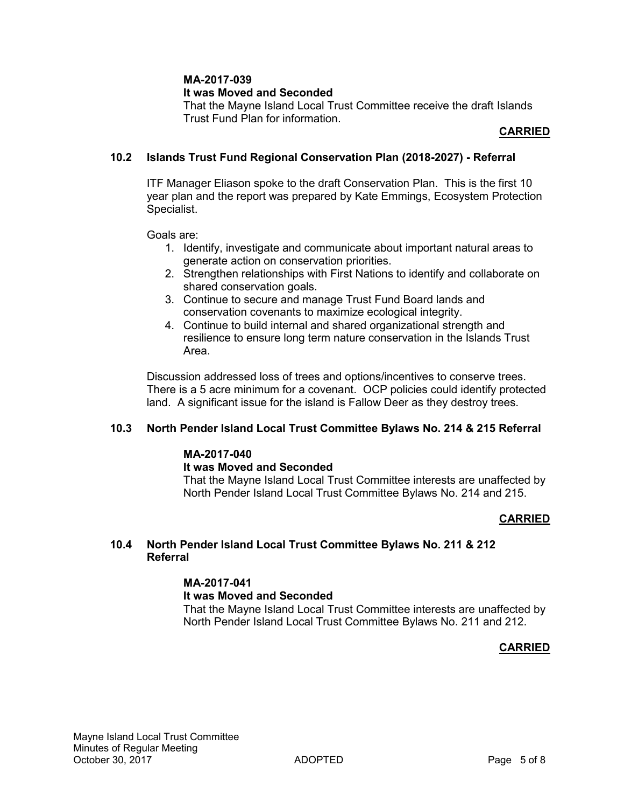# **MA-2017-039**

## **It was Moved and Seconded**

That the Mayne Island Local Trust Committee receive the draft Islands Trust Fund Plan for information.

#### **CARRIED**

## **10.2 Islands Trust Fund Regional Conservation Plan (2018-2027) - Referral**

ITF Manager Eliason spoke to the draft Conservation Plan. This is the first 10 year plan and the report was prepared by Kate Emmings, Ecosystem Protection Specialist.

Goals are:

- 1. Identify, investigate and communicate about important natural areas to generate action on conservation priorities.
- 2. Strengthen relationships with First Nations to identify and collaborate on shared conservation goals.
- 3. Continue to secure and manage Trust Fund Board lands and conservation covenants to maximize ecological integrity.
- 4. Continue to build internal and shared organizational strength and resilience to ensure long term nature conservation in the Islands Trust Area.

Discussion addressed loss of trees and options/incentives to conserve trees. There is a 5 acre minimum for a covenant. OCP policies could identify protected land. A significant issue for the island is Fallow Deer as they destroy trees.

## **10.3 North Pender Island Local Trust Committee Bylaws No. 214 & 215 Referral**

# **MA-2017-040**

#### **It was Moved and Seconded**

That the Mayne Island Local Trust Committee interests are unaffected by North Pender Island Local Trust Committee Bylaws No. 214 and 215.

## **CARRIED**

#### **10.4 North Pender Island Local Trust Committee Bylaws No. 211 & 212 Referral**

#### **MA-2017-041**

## **It was Moved and Seconded**

That the Mayne Island Local Trust Committee interests are unaffected by North Pender Island Local Trust Committee Bylaws No. 211 and 212.

## **CARRIED**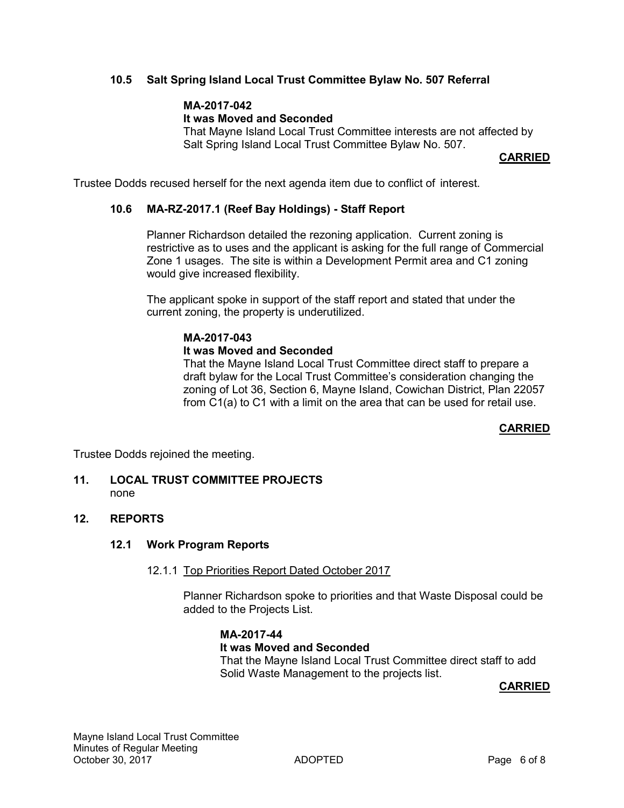# **10.5 Salt Spring Island Local Trust Committee Bylaw No. 507 Referral**

# **MA-2017-042**

# **It was Moved and Seconded**

That Mayne Island Local Trust Committee interests are not affected by Salt Spring Island Local Trust Committee Bylaw No. 507.

**CARRIED**

Trustee Dodds recused herself for the next agenda item due to conflict of interest.

### **10.6 MA-RZ-2017.1 (Reef Bay Holdings) - Staff Report**

Planner Richardson detailed the rezoning application. Current zoning is restrictive as to uses and the applicant is asking for the full range of Commercial Zone 1 usages. The site is within a Development Permit area and C1 zoning would give increased flexibility.

The applicant spoke in support of the staff report and stated that under the current zoning, the property is underutilized.

# **MA-2017-043**

## **It was Moved and Seconded**

That the Mayne Island Local Trust Committee direct staff to prepare a draft bylaw for the Local Trust Committee's consideration changing the zoning of Lot 36, Section 6, Mayne Island, Cowichan District, Plan 22057 from C1(a) to C1 with a limit on the area that can be used for retail use.

## **CARRIED**

Trustee Dodds rejoined the meeting.

#### **11. LOCAL TRUST COMMITTEE PROJECTS** none

#### **12. REPORTS**

#### **12.1 Work Program Reports**

#### 12.1.1 Top Priorities Report Dated October 2017

Planner Richardson spoke to priorities and that Waste Disposal could be added to the Projects List.

#### **MA-2017-44**

#### **It was Moved and Seconded**

That the Mayne Island Local Trust Committee direct staff to add Solid Waste Management to the projects list.

#### **CARRIED**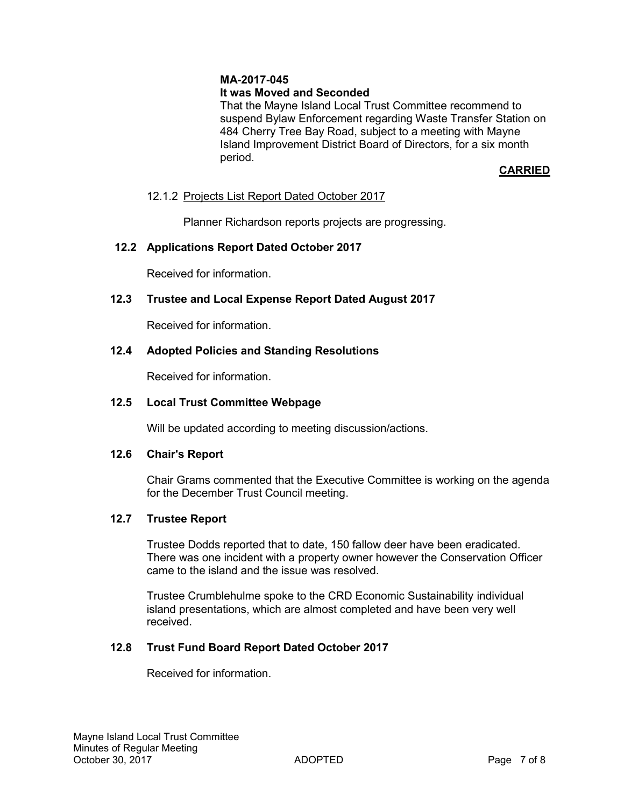# **MA-2017-045**

# **It was Moved and Seconded**

That the Mayne Island Local Trust Committee recommend to suspend Bylaw Enforcement regarding Waste Transfer Station on 484 Cherry Tree Bay Road, subject to a meeting with Mayne Island Improvement District Board of Directors, for a six month period.

# **CARRIED**

# 12.1.2 Projects List Report Dated October 2017

Planner Richardson reports projects are progressing.

# **12.2 Applications Report Dated October 2017**

Received for information.

# **12.3 Trustee and Local Expense Report Dated August 2017**

Received for information.

# **12.4 Adopted Policies and Standing Resolutions**

Received for information.

# **12.5 Local Trust Committee Webpage**

Will be updated according to meeting discussion/actions.

## **12.6 Chair's Report**

Chair Grams commented that the Executive Committee is working on the agenda for the December Trust Council meeting.

## **12.7 Trustee Report**

Trustee Dodds reported that to date, 150 fallow deer have been eradicated. There was one incident with a property owner however the Conservation Officer came to the island and the issue was resolved.

Trustee Crumblehulme spoke to the CRD Economic Sustainability individual island presentations, which are almost completed and have been very well received.

## **12.8 Trust Fund Board Report Dated October 2017**

Received for information.